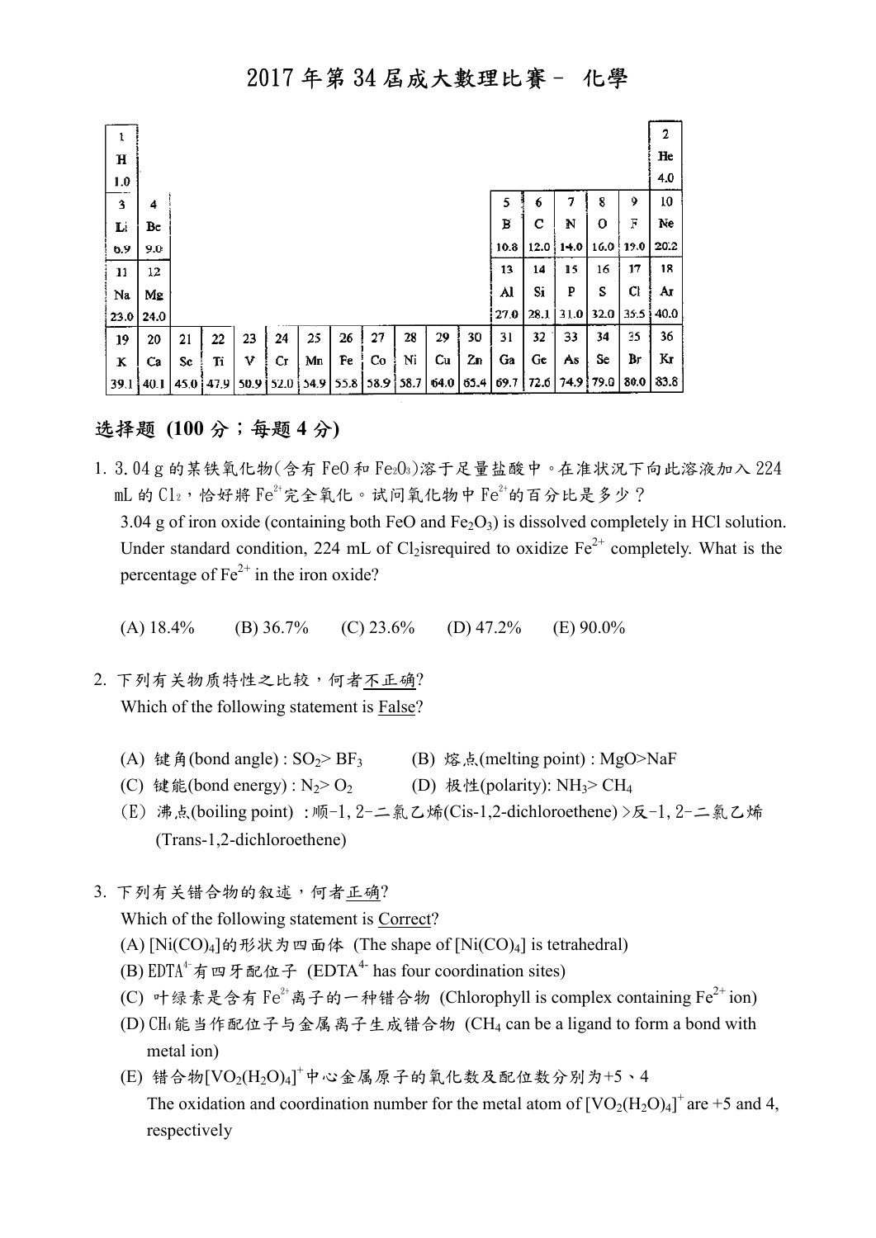| ı           |      |      |      |      |      |      |      |           |    |      |      |      |      |      |      |      | 2    |
|-------------|------|------|------|------|------|------|------|-----------|----|------|------|------|------|------|------|------|------|
| $\mathbf H$ |      |      |      |      |      |      |      |           |    |      |      |      |      |      |      |      | He   |
| 1.0         |      |      |      |      |      |      |      |           |    |      |      |      |      |      |      |      | 4.0  |
| 3           | 4    |      |      |      |      |      |      |           |    |      |      | 5    | 6    | 7    | 8    | 9    | 10   |
| Li          | Be   |      |      |      |      |      |      |           |    |      |      | в    | с    | N    | о    | F    | Ne   |
| 6.9         | 9.0  |      |      |      |      |      |      |           |    |      |      | 10.8 | 12.0 | 14.0 | 16.0 | 19.0 | 20.2 |
| 11          | 12   |      |      |      |      |      |      |           |    |      |      | 13   | 14   | 15   | 16   | 17   | 18   |
| Na          | Mg   |      |      |      |      |      |      |           |    |      |      | Al   | Si   | P    | S    | Cl   | Aт   |
| 23.0        | 24.0 |      |      |      |      |      |      |           |    |      |      | 27.0 | 28.1 | 31.0 | 32.0 | 35.5 | 40.0 |
| 19          | 20   | 21   | 22   | 23   | 24   | 25   | 26   | 27        | 28 | 29   | 30   | 31   | 32   | 33   | 34   | 35   | 36   |
| ĸ           | Ca   | Sc   | Ti   | v    | Сr   | Mn   | Fe   | Co        | Ni | Cu   | Zn   | Ga   | Ge   | As   | Se   | Br   | Kг   |
| 39.1        | 40.I | 45,0 | 47.9 | 50.9 | 52.0 | 54.9 | 55.8 | 58.9 58.7 |    | 64.0 | 65.4 | 69.7 | 72.6 | 74.9 | 79.0 | 80.0 | 83.8 |

### 选择题 (100分;每题4分)

- 1. 3.04g的某铁氧化物(含有 Fe0和 Fe203)溶于足量盐酸中。在准状況下向此溶液加入 224 mL 的  $\text{Cl}_2$ ,恰好將  $\text{Fe}^{2+}$ 完全氧化。试问氧化物中  $\text{Fe}^{2+}$ 的百分比是多少? 3.04 g of iron oxide (containing both FeO and  $Fe<sub>2</sub>O<sub>3</sub>$ ) is dissolved completely in HCl solution. Under standard condition, 224 mL of Cl<sub>2</sub>isrequired to oxidize  $Fe^{2+}$  completely. What is the percentage of  $Fe^{2+}$  in the iron oxide? ?<br>letely in HCl solutio<br>mpletely. What is th<br>)>NaF<br>!<br>反-1, 2-二氯乙烯
	- (A)  $18.4\%$  (B)  $36.7\%$ (C)  $23.6\%$  (D)  $47.2\%$  (E)  $90.0\%$
- 2. 下列有关物质特性之比较,何者不正确? Which of the following statement is **False**?
	- (A) 键角(bond angle) :  $SO_2 > BF_3$ (B) 熔点(melting point) : MgO>NaF
	- (C) 键能(bond energy):  $N_2$ >  $O_2$ (D) 极性(polarity):  $NH<sub>3</sub> > CH<sub>4</sub>$
- (E) 沸点(boiling point) :顺 顺-1,2-二氯乙烯(Cis-1,2-dichloroethene) >反 (Trans-1,2-dichloroethene) dichloroethene)
- 3. 下列有关错合物的叙述,何者正确?

Which of the following statement is Correct?

- (A)  $[Ni(CO)_4]$ 的形状为四面体 (The shape of  $[Ni(CO)_4]$  is tetrahedral)
- (B)  $EDTA^4$ 有四牙配位子 (EDTA<sup>4-</sup> has four coordination sites)
- (C) 叶绿素是含有 Fe<sup>2+</sup>离子的一种错合物 (Chlorophyll is complex containing Fe<sup>2+</sup>ion)
	- (D) CH4能当作配位子与金属 属离子生成错合物 (CH4 can be a ligand to form a bond with metal ion) (D) CH4能当作配位子与金属离子生成错合物 (CH4 can be a ligand to for<br>metal ion)<br>(E) 错合物[VO<sub>2</sub>(H<sub>2</sub>O)4]<sup>+</sup>中心金属原子的氧化数及配位数分别为+5、4
	- The oxidation and coordination number for the metal atom of  $[VO_2(H_2O)_4]^+$  are +5 and 4, respectively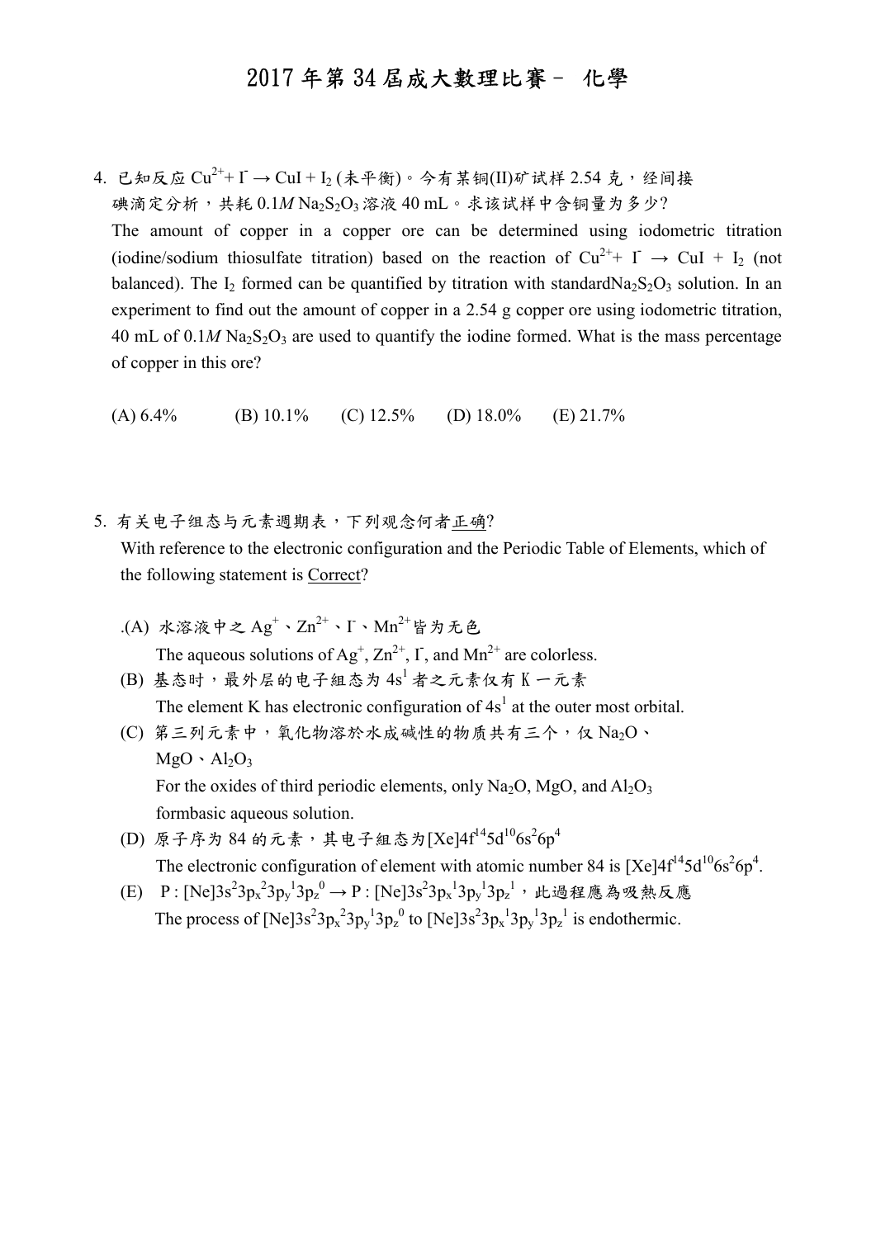4. 已知反应  $\mathrm{Cu}^{2+}$ +  $\mathrm{I}$  →  $\mathrm{CuI}$  +  $\mathrm{I}_2$  (未平衡)。今有某铜(II)矿试样 2.54 克, 经间接 碘滴定分析,共耗  $0.1M$  Na<sub>2</sub>S<sub>2</sub>O<sub>3</sub> 溶液 40 mL。求该试样中含铜量为多少? The amount of copper in a copper ore can be determined using iodometric titration (iodine/sodium thiosulfate titration) based on the reaction of  $Cu^{2+}+ I \rightarrow CuI + I_2$  (not balanced). The I<sub>2</sub> formed can be quantified by titration with standardNa<sub>2</sub>S<sub>2</sub>O<sub>3</sub> solution. In an experiment to find out the amount of copper in a 2.54 g copper ore using iodometric titration, 40 mL of  $0.1M$  Na<sub>2</sub>S<sub>2</sub>O<sub>3</sub> are used to quantify the iodine formed. What is the mass percentage of copper in this ore?

(A)  $6.4\%$  (B)  $10.1\%$  (C)  $12.5\%$  (D)  $18.0\%$  (E)  $21.7\%$ 

5. 有关电子组态与元素週期表,下列观念何者正确?

 With reference to the electronic configuration and the Periodic Table of Elements, which of the following statement is Correct?

- .(A) 水溶液中之 $Ag^+ \cdot Zn^{2+} \cdot I \cdot Mn^{2+}$ 皆为无色 The aqueous solutions of  $Ag^{\dagger}$ ,  $Zn^{2+}$ ,  $\Gamma$ , and  $Mn^{2+}$  are colorless. (B) 基态时,最外层的电子组态为 4s1 者之元素仅有 K 一元素 The element K has electronic configuration of  $4s<sup>1</sup>$  at the outer most orbital. (C) 第三列元素中,氧化物溶於水成碱性的物质共有三个,仅 Na2O、  $MgO \cdot Al_2O_3$ For the oxides of third periodic elements, only  $Na<sub>2</sub>O$ ,  $MgO$ , and  $Al<sub>2</sub>O<sub>3</sub>$ formbasic aqueous solution.
	- (D) 原子序为 84 的元素,其电子组态为[Xe]4f<sup>14</sup>5d<sup>10</sup>6s<sup>2</sup>6p<sup>4</sup> The electronic configuration of element with atomic number 84 is  $[Xe]4f^{14}5d^{10}6s^26p^4$ .
	- (E) P: [Ne]3s<sup>2</sup>3p<sub>x</sub><sup>2</sup>3p<sub>y</sub><sup>1</sup>3p<sub>z</sub><sup>0</sup> → P: [Ne]3s<sup>2</sup>3p<sub>x</sub><sup>1</sup>3p<sub>y</sub><sup>1</sup>3p<sub>z</sub><sup>1</sup>, 此過程應為吸熱反應 The process of  $[Ne]3s^23p_x^23p_y^13p_z^0$  to  $[Ne]3s^23p_x^13p_y^13p_z^1$  is endothermic.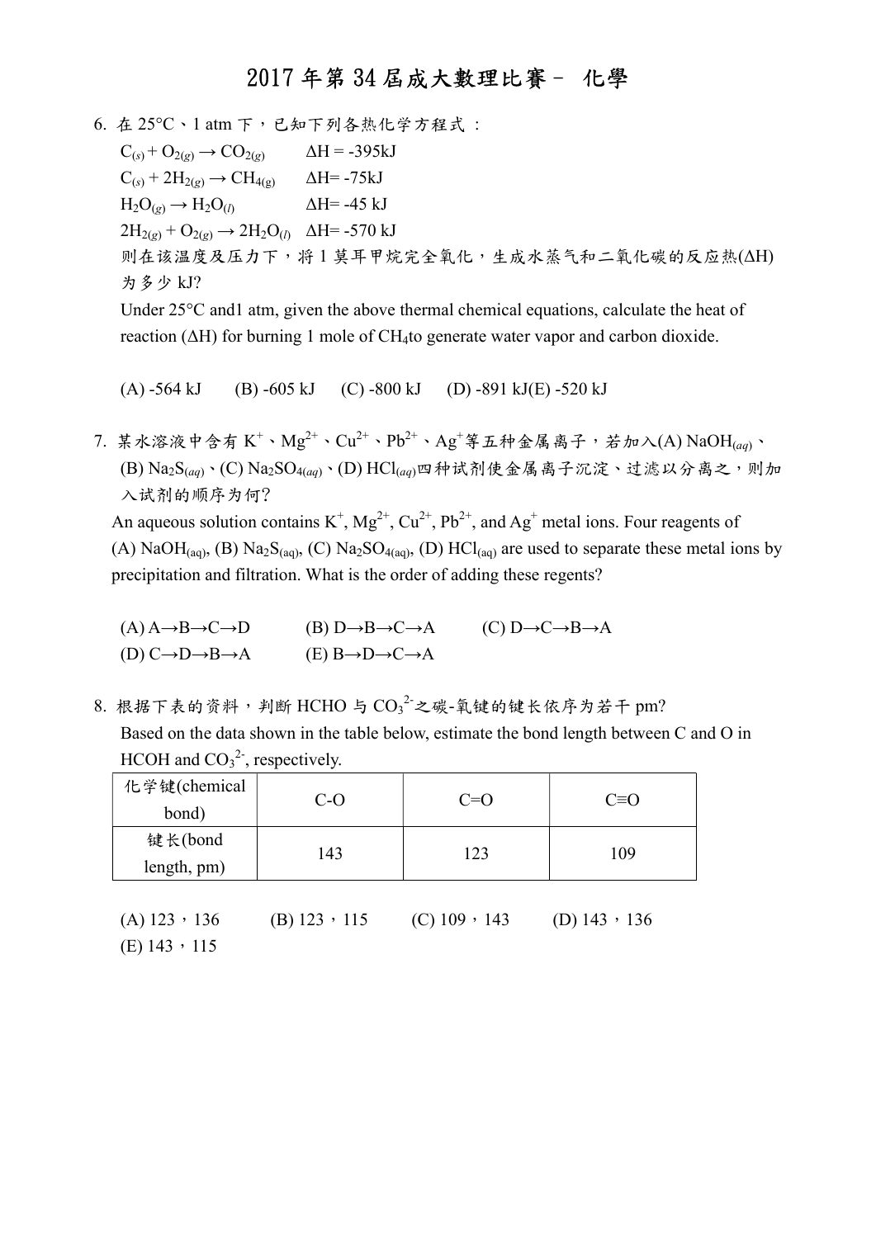$6. 4.25^{\circ}\text{C} \cdot 1$  atm 下, 已知下列各热化学方程式:  $C_{(s)}$  +  $O_{2(g)}$   $\rightarrow$   $CO_{2(g)}$   $\Delta H = -395kJ$  $C_{(s)}$  + 2H<sub>2(g)</sub>  $\rightarrow$  CH<sub>4(g)</sub>  $\Delta$ H= -75kJ  $H_2O_{(g)} \rightarrow H_2O_{(l)}$   $\Delta H = -45$  kJ  $2H_{2(g)} + O_{2(g)} \rightarrow 2H_2O_{(l)}$   $\Delta H = -570$  kJ 则在该温度及压力下,将 1 莫耳甲烷完全氧化,生成水蒸气和二氧化碳的反应热(ΔH) 为多少 kJ? Under 25°C and1 atm, given the above thermal chemical equations, calculate the heat of

reaction (ΔH) for burning 1 mole of CH4to generate water vapor and carbon dioxide.

(A) -564 kJ (B) -605 kJ (C) -800 kJ (D) -891 kJ(E) -520 kJ

7. 某水溶液中含有  $K^+ \cdot \text{Mg}^{2+} \cdot \text{Cu}^{2+} \cdot \text{Pb}^{2+} \cdot \text{Ag}^+$ 等五种金属离子,若加入(A)  $\text{NaOH}_{(aq)} \cdot$  $($ B) Na<sub>2</sub>S<sub>(aq)</sub>、(C) Na<sub>2</sub>SO<sub>4(aq)</sub>、(D) HCl<sub>(aq)</sub>四种试剂使金属离子沉淀、过滤以分离之,则加 入试剂的顺序为何?

An aqueous solution contains K<sup>+</sup>, Mg<sup>2+</sup>, Cu<sup>2+</sup>, Pb<sup>2+</sup>, and Ag<sup>+</sup> metal ions. Four reagents of (A) NaOH(aq), (B) Na<sub>2</sub>S(aq), (C) Na<sub>2</sub>SO<sub>4(aq)</sub>, (D) HCl(aq) are used to separate these metal ions by precipitation and filtration. What is the order of adding these regents?

- $(A)$  A  $\rightarrow$  B  $\rightarrow$  C  $\rightarrow$  D  $\rightarrow$  B  $\rightarrow$  B  $\rightarrow$  C  $\rightarrow$  B  $\rightarrow$  A (C) D  $\rightarrow$  C  $\rightarrow$  B  $\rightarrow$  A (D)  $C \rightarrow D \rightarrow B \rightarrow A$  (E)  $B \rightarrow D \rightarrow C \rightarrow A$
- $8.$  根据下表的资料,判断 HCHO 与  $\mathrm{{CO_3}^2}$ 之碳-氧键的键长依序为若干 pm? Based on the data shown in the table below, estimate the bond length between C and O in HCOH and  $CO_3^2$ , respectively.

| 化学键(chemical   | $C-O$          | $C=O$                 | $C \equiv O$        |  |
|----------------|----------------|-----------------------|---------------------|--|
| bond)          |                |                       |                     |  |
| 键长(bond        | 143            | 123                   | 109                 |  |
| length, pm)    |                |                       |                     |  |
|                |                |                       |                     |  |
| $(A)$ 123, 136 | $(B)$ 123, 115 | $(C)$ 109 $\cdot$ 143 | (D) $143 \cdot 136$ |  |

 $(E)$  143, 115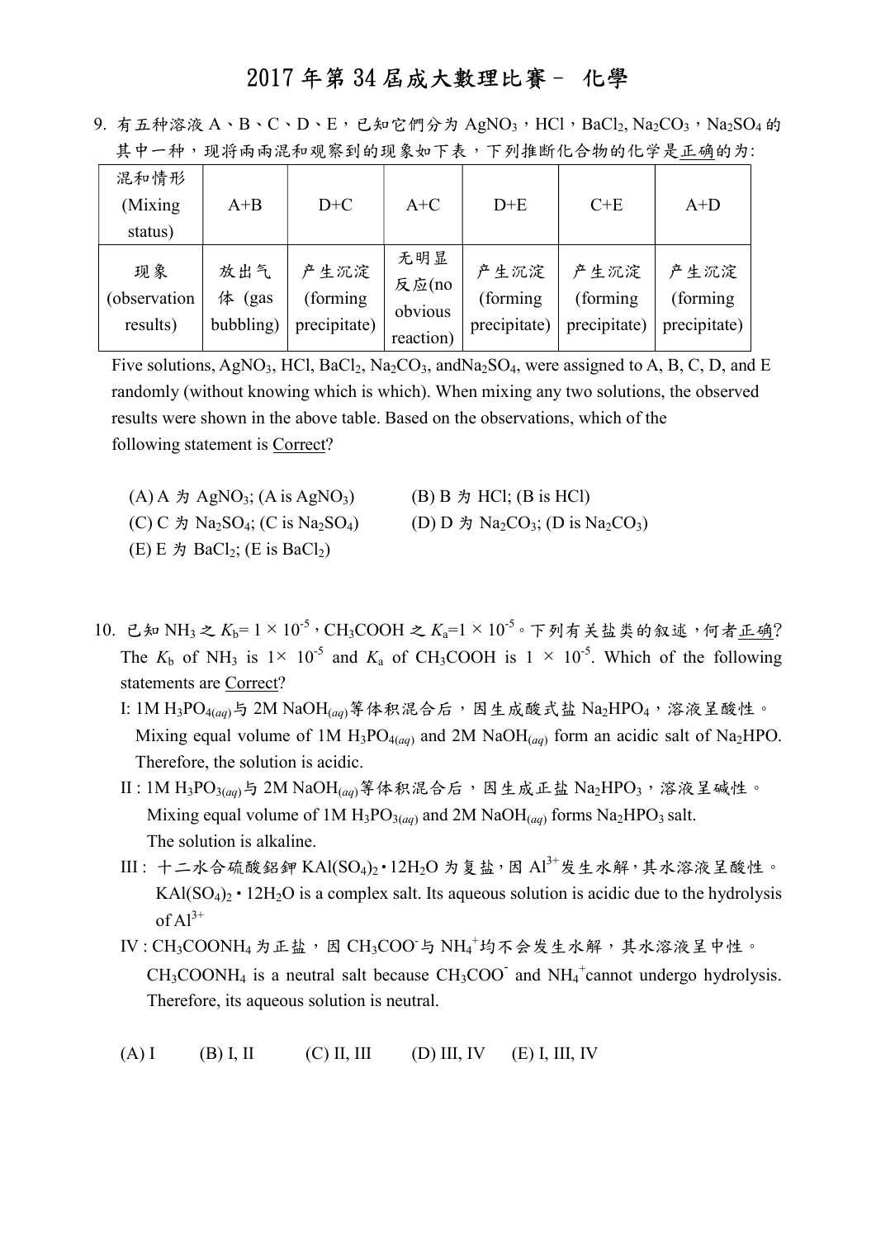| 共 屮 冖 祌 , 现 村 网 闲 泥 种 观 条 到 旳 现 豕 如 阝 衣 , 阝 刈 推 町 1G 宁 初 旳 1G 字 疋 止 朔 旳 刀: |                               |                                   |                                      |                                   |                                   |                                   |  |
|----------------------------------------------------------------------------|-------------------------------|-----------------------------------|--------------------------------------|-----------------------------------|-----------------------------------|-----------------------------------|--|
| 混和情形<br>(Mixing<br>status)                                                 | $A + B$                       | $D+C$                             | $A+C$                                | $D+E$                             | $C+E$                             | $A+D$                             |  |
| 现象<br>(observation<br>results)                                             | 放出气<br>体<br>(gas<br>bubbling) | 产生沉淀<br>(forming)<br>precipitate) | 无明显<br>反应(no<br>obvious<br>reaction) | 产生沉淀<br>(forming)<br>precipitate) | 产生沉淀<br>(forming)<br>precipitate) | 产生沉淀<br>(forming)<br>precipitate) |  |

9. 有五种溶液 A、B、C、D、E,已知它們分为 AgNO<sub>3</sub>, HCl, BaCl<sub>2</sub>, Na<sub>2</sub>CO<sub>3</sub>, Na<sub>2</sub>SO<sub>4</sub> 的 甘市一种,现在不同的动物的动物的不能会认定,不可按照化合物的化学是正确的

Five solutions, AgNO<sub>3</sub>, HCl, BaCl<sub>2</sub>, Na<sub>2</sub>CO<sub>3</sub>, andNa<sub>2</sub>SO<sub>4</sub>, were assigned to A, B, C, D, and E randomly (without knowing which is which). When mixing any two solutions, the observed results were shown in the above table. Based on the observations, which of the following statement is Correct?

- $(A)$  A  $\sharp$  AgNO<sub>3</sub>; (A is AgNO<sub>3</sub>) (B) B  $\sharp$  HCl; (B is HCl) (C) C  $\sharp$  Na<sub>2</sub>SO<sub>4</sub>; (C is Na<sub>2</sub>SO<sub>4</sub>) (D) D  $\sharp$  Na<sub>2</sub>CO<sub>3</sub>; (D is Na<sub>2</sub>CO<sub>3</sub>)  $(E) E \nrightarrow BaCl_2$ ;  $(E \text{ is } Bacl_2)$
- 10. 已知 NH<sub>3</sub> 之  $K_b=1\times10^{-5}$ , CH<sub>3</sub>COOH 之  $K_a=1\times10^{-5}$ 。下列有关盐类的叙述, 何者正确? The  $K_b$  of NH<sub>3</sub> is 1× 10<sup>-5</sup> and  $K_a$  of CH<sub>3</sub>COOH is 1 × 10<sup>-5</sup>. Which of the following statements are Correct?
	- I: 1M H<sub>3</sub>PO<sub>4(aq)</sub>与 2M NaOH<sub>(aq)</sub>等体积混合后,因生成酸式盐 Na<sub>2</sub>HPO<sub>4</sub>,溶液呈酸性。 Mixing equal volume of 1M  $H_3PO_{4(aq)}$  and 2M NaO $H_{(aq)}$  form an acidic salt of Na<sub>2</sub>HPO. Therefore, the solution is acidic.
	- II: 1M H<sub>3</sub>PO<sub>3(aq)</sub>与 2M NaOH<sub>(aq)</sub>等体积混合后,因生成正盐 Na<sub>2</sub>HPO<sub>3</sub>,溶液呈碱性。 Mixing equal volume of 1M  $H_3PO_{3(aq)}$  and 2M NaO $H_{(aq)}$  forms Na<sub>2</sub>HPO<sub>3</sub> salt. The solution is alkaline.
	- III: 十二水合硫酸鋁鉀 KAl(SO4)<sup>,</sup> · 12H<sub>2</sub>O 为复盐, 因 Al<sup>3+</sup>发生水解, 其水溶液呈酸性。 KAl( $SO_4$ )<sub>2</sub> • 12H<sub>2</sub>O is a complex salt. Its aqueous solution is acidic due to the hydrolysis of  $Al^{3+}$
- $\text{IV : CH}_3\text{COONH}_4$ 为正盐,因  $\text{CH}_3\text{COO}$ 与  $\text{NH}_4^+$ 均不会发生水解,其水溶液呈中性。  $CH_3COONH_4$  is a neutral salt because  $CH_3COO^{\dagger}$  and  $NH_4^+$ cannot undergo hydrolysis. Therefore, its aqueous solution is neutral.
	- $(A) I$  (B) I, II (C) II, III (D) III, IV (E) I, III, IV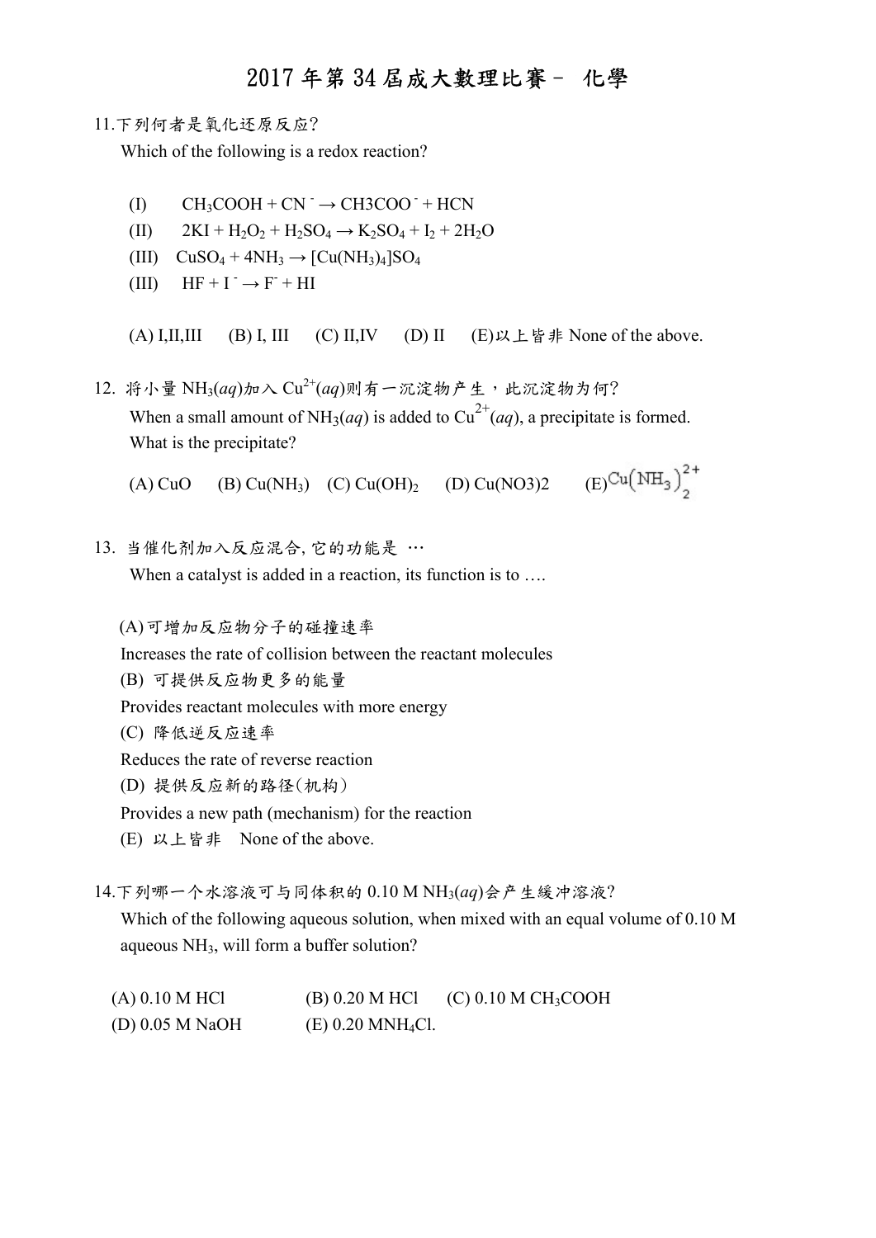#### 11.下列何者是氧化还原反应?

Which of the following is a redox reaction?

- $(I)$  CH<sub>3</sub>COOH + CN<sup>-</sup>  $\rightarrow$  CH3COO<sup>-</sup> + HCN
- (II)  $2KI + H_2O_2 + H_2SO_4 \rightarrow K_2SO_4 + I_2 + 2H_2O$
- (III)  $CuSO_4 + 4NH_3 \rightarrow [Cu(NH_3)_4]SO_4$
- (III)  $HF + I^- \rightarrow F^- + HI$

(A) I,II,III (B) I, III (C) II,IV (D) II (E)以上皆非 None of the above.

12. 将小量 NH3(aq)加入  $Cu^{2+}(aq)$ 则有一沉淀物产生,此沉淀物为何? When a small amount of NH<sub>3</sub>(*aq*) is added to Cu<sup>2+</sup>(*aq*), a precipitate is formed. What is the precipitate?

(A) CuO (B) Cu(NH<sub>3</sub>) (C) Cu(OH)<sub>2</sub> (D) Cu(NO3)2 (E)<sup>Cu</sup>(NH<sub>3</sub>)<sup>2+</sup>

13. 当催化剂加入反应混合,它的功能是 …

When a catalyst is added in a reaction, its function is to ....

(A)可增加反应物分子的碰撞速率

Increases the rate of collision between the reactant molecules

- (B) 可提供反应物更多的能量
- Provides reactant molecules with more energy
- (C) 降低逆反应速率

Reduces the rate of reverse reaction

- (D) 提供反应新的路径(机构)
- Provides a new path (mechanism) for the reaction
- (E) 以上皆非 None of the above.

14.下列哪一个水溶液可与同体积的 0.10 M NH3(aq)会产生緩冲溶液?

 Which of the following aqueous solution, when mixed with an equal volume of 0.10 M aqueous NH3, will form a buffer solution?

(A)  $0.10$  M HCl (B)  $0.20$  M HCl (C)  $0.10$  M CH<sub>3</sub>COOH (D) 0.05 M NaOH (E) 0.20 MNH4Cl.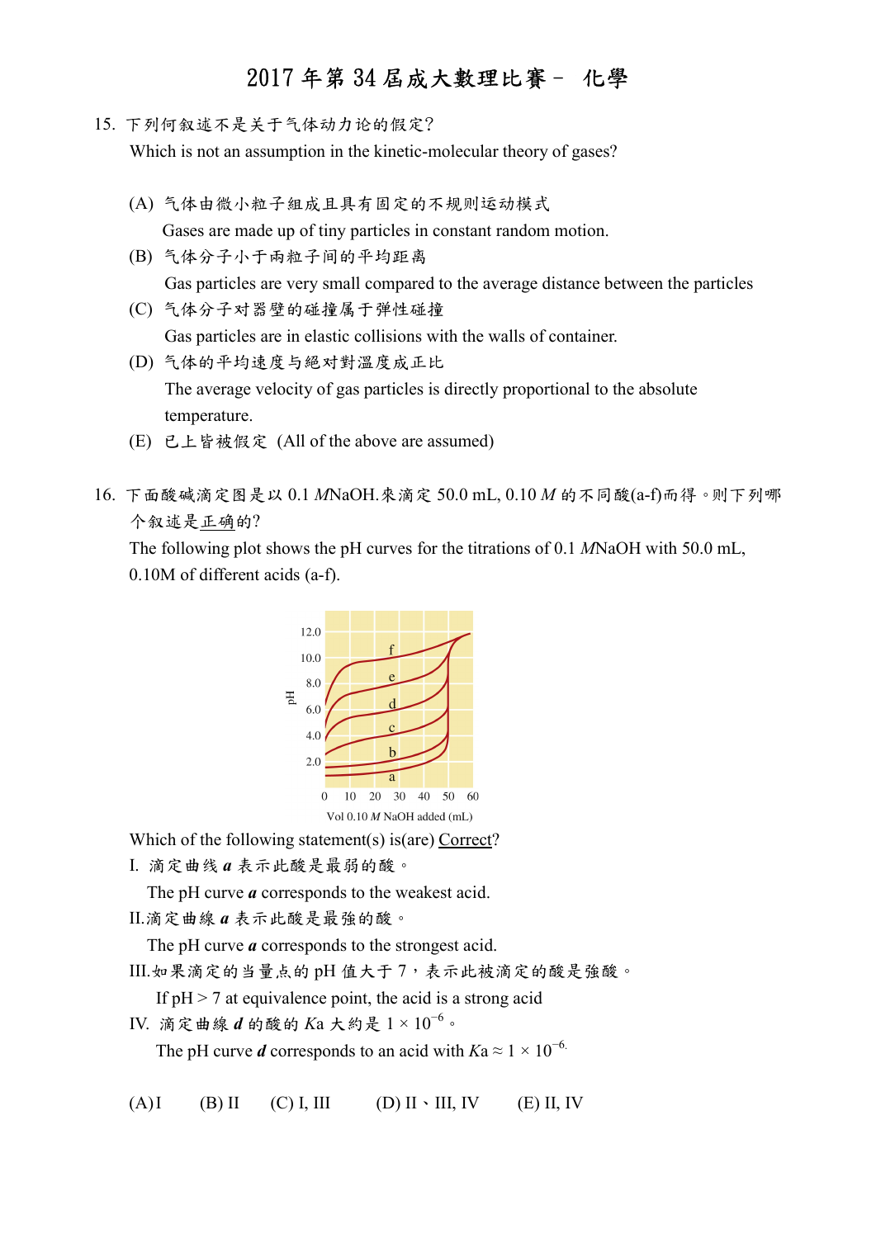15. 下列何叙述不是关于气体动力论的假定?

Which is not an assumption in the kinetic-molecular theory of gases?

- (A) 气体由微小粒子組成且具有固定的不规则运动模式 Gases are made up of tiny particles in constant random motion.
- (B) 气体分子小于兩粒子间的平均距离 Gas particles are very small compared to the average distance between the particles
- (C) 气体分子对器壁的碰撞属于弹性碰撞 Gas particles are in elastic collisions with the walls of container.
- (D) 气体的平均速度与絕对對溫度成正比 The average velocity of gas particles is directly proportional to the absolute temperature.
- (E) 已上皆被假定 (All of the above are assumed)
- 16. 下面酸碱滴定图是以 0.1 MNaOH.來滴定 50.0 mL, 0.10 M 的不同酸(a-f)而得。则下列哪 个叙述是正确的?

The following plot shows the pH curves for the titrations of 0.1 MNaOH with 50.0 mL, 0.10M of different acids (a-f).



Which of the following statement(s) is(are) Correct?

I. 滴定曲线 a 表示此酸是最弱的酸。

The pH curve  $\boldsymbol{a}$  corresponds to the weakest acid.

II.滴定曲線 a 表示此酸是最強的酸。

The pH curve  $a$  corresponds to the strongest acid.

III.如果滴定的当量点的 pH 值大于 7,表示此被滴定的酸是強酸。

If  $pH > 7$  at equivalence point, the acid is a strong acid

IV. 滴定曲線  $d$  的酸的  $Ka$  大約是  $1 \times 10^{-6}$ 。

The pH curve d corresponds to an acid with  $Ka \approx 1 \times 10^{-6}$ .

 $(A)I$  (B) II (C) I, III (D) II \ III, IV (E) II, IV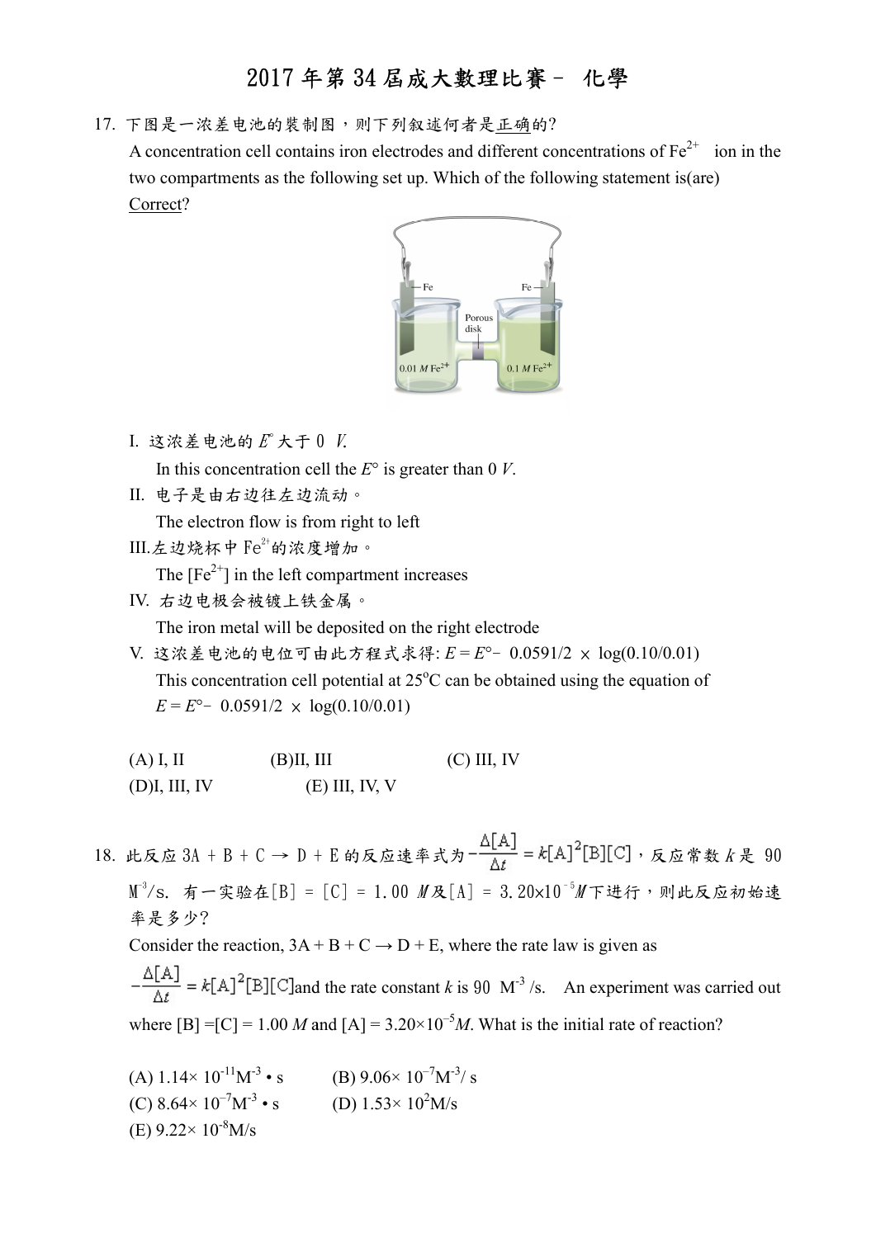17. 下图是一浓差电池的裝制 制图,则下列叙述何者是正确的?

A concentration cell contains iron electrodes and different concentrations of  $Fe^{2+}$  ion in the two compartments as the following set up. Which of the following statement is (are) Correct?



- I. 这浓差电池的 $E$ 大于  $0$   $V$ . In this concentration cell the  $E^{\circ}$  is greater than 0 V.
- II. 电子是由右边往左边流动。

The electron flow is from right to left

 $III.$ 左边烧杯中 $Fe^{2+}$ 的浓度增加。

The  $[Fe^{2+}]$  in the left compartment increases

IV. 右边电极会被镀上铁 铁金属。

The iron metal will be deposited on the right electrode The iron be

 V. 这浓差电池的电位可由此方程式求得 位可由此方程式求得: E = E°- 0.0591/2 × log(0.10/0.01) This concentration cell potential at  $25^{\circ}$ C can be obtained using the equation of  $E = E^{\circ} - 0.0591/2 \times \log(0.10/0.01)$ 

| $(A)$ I, II      | (B)II, III       | $(C)$ III, IV |
|------------------|------------------|---------------|
| $(D)$ I, III, IV | $(E)$ III, IV, V |               |

18. 此反应 3A + B + C → D + E 的反应速率式为- $\frac{\Box[A]}{A}$  = k[A]<sup>2</sup>[B][C], 反应常数 k 是 90  $\text{M}^3/\text{s}$ . 有一实验在[B] = [C] = 1.00  $\textit{M}$ 及[A] = 3.20×10 $^{\text{-}5}\textit{M}$ 下进行,则此反应初始速 率是多少?

Consider the reaction,  $3A + B + C \rightarrow D + E$ , where the rate law is given as

and the rate constant k is 90 M<sup>-3</sup>/s. An experiment was carried out where  $[B] = [C] = 1.00 M$  and  $[A] = 3.20 \times 10^{-5} M$ . What is the initial rate of reaction?

(A)  $1.14 \times 10^{-11} M^{-3} \cdot s$ (C)  $8.64 \times 10^{-7} M^{-3} \cdot s$ (E)  $9.22 \times 10^{-8}$ M/s (B)  $9.06 \times 10^{-7} M^{-3}$ / s (D)  $1.53 \times 10^2$  M/s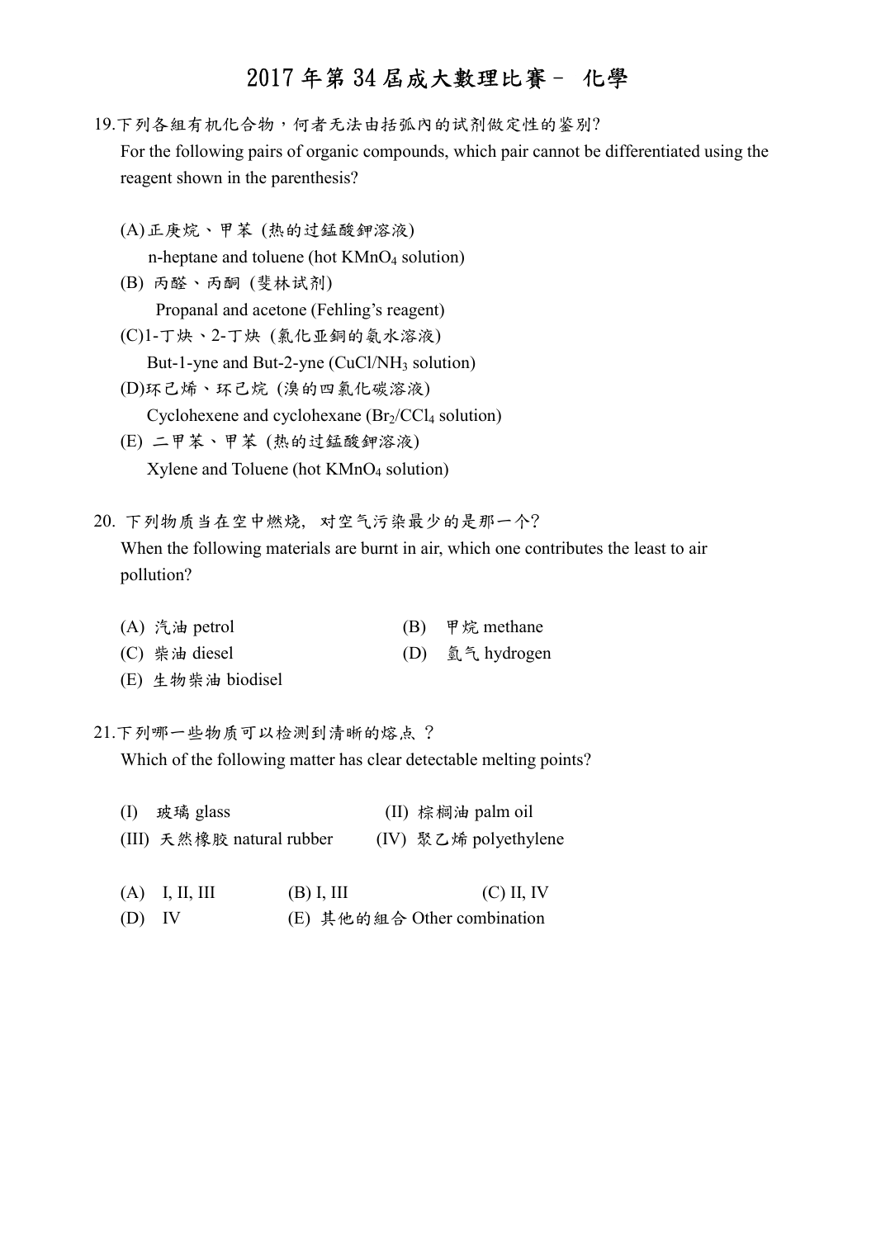- 19.下列各組有机化合物,何者无法由括弧內的试剂做定性的鉴別? For the following pairs of organic compounds, which pair cannot be differentiated using the reagent shown in the parenthesis?
	- (A)正庚烷、甲苯 (热的过錳酸鉀溶液) n-heptane and toluene (hot KMnO<sub>4</sub> solution)
	- (B) 丙醛、丙酮 (斐林试剂) Propanal and acetone (Fehling's reagent)
	- (C)1-丁炔、2-丁炔 (氯化亚銅的氨水溶液) But-1-yne and But-2-yne (CuCl/NH<sub>3</sub> solution)
	- (D)环己烯、环己烷 (溴的四氯化碳溶液) Cyclohexene and cyclohexane  $(Br_2/CCl_4)$  solution) (E) 二甲苯、甲苯 (热的过錳酸鉀溶液)
		- Xylene and Toluene (hot KMnO4 solution)
- 20. 下列物质当在空中燃烧, 对空气污染最少的是那一个?

 When the following materials are burnt in air, which one contributes the least to air pollution?

- (A) 汽油 petrol (B) 甲烷 methane
- (C) 柴油 diesel (D) 氫气 hydrogen
- (E) 生物柴油 biodisel
- 21.下列哪一些物质可以检测到清晰的熔点 ?

Which of the following matter has clear detectable melting points?

|     | (I) 玻璃 glass              |              | (II) 棕榈油 palm oil           |
|-----|---------------------------|--------------|-----------------------------|
|     | (III) 天然橡胶 natural rubber |              | (IV) 聚乙烯 polyethylene       |
|     |                           |              |                             |
|     | $(A)$ I, II, III          | $(B)$ I, III | $(C)$ II, IV                |
| (D) | $\mathbf{IV}$             |              | (E) 其他的組合 Other combination |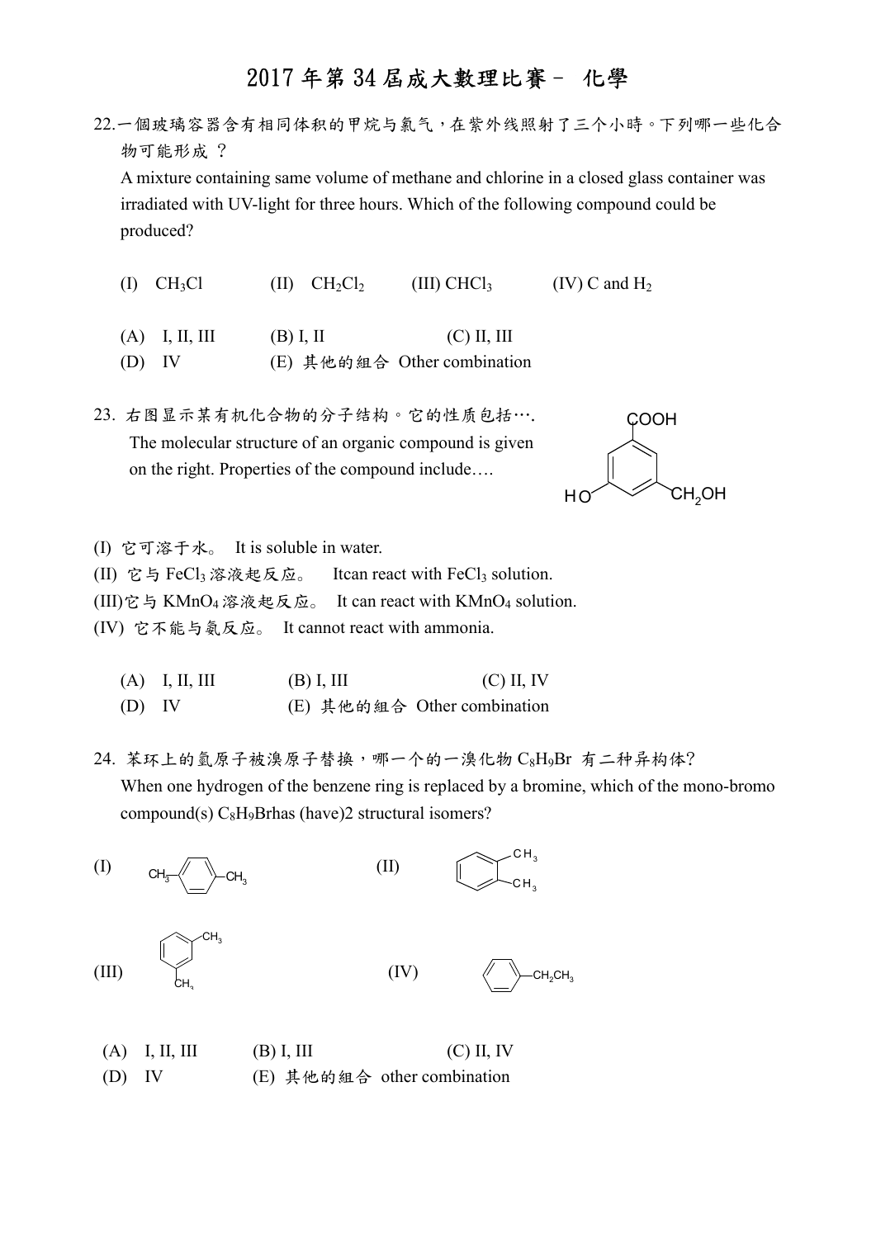22.一個玻璃容器含有相同体积的甲烷与氯气,在紫外线照射了三个小時。下列哪一些化合 物可能形成 ? A mixture containing same volume of methane and chlorine in a closed glass container was irradiated with UV-light for three hours. Which of the following compound could be produced?

- (I)  $CH_3Cl$  (II)  $CH_2Cl_2$  (III)  $CHCl_3$  (IV) C and H<sub>2</sub>
- (A) I, II, III (B) I, II (C) II, III
- (D) IV (E) 其他的組合 Other combination

23. 右图显示某有机化合物的分子结构。它的性质包括…. The molecular structure of an organic compound is given on the right. Properties of the compound include….



(I) 它可溶于水。 It is soluble in water.

- (II) 它与 FeCl<sub>3</sub> 溶液起反应。 Itcan react with FeCl<sub>3</sub> solution.
- (III)它与 KMnO<sup>4</sup> 溶液起反应。 It can react with KMnO4 solution.
- (IV) 它不能与氨反应。 It cannot react with ammonia.

|          | $(A)$ I, II, III | $(B)$ I, III | $(C)$ II, IV                |
|----------|------------------|--------------|-----------------------------|
| $(D)$ IV |                  |              | (E) 其他的組合 Other combination |

24. 苯环上的氫原子被溴原子替换,哪一个的一溴化物 C8H9Br 有二种异构体? When one hydrogen of the benzene ring is replaced by a bromine, which of the mono-bromo compound(s)  $C_8H_9Brhas$  (have)2 structural isomers?

$$
(I) \t CH3 C H3 (II) C H3 (III)
$$
\n
$$
(III) \t CH3 C H3 (IV)
$$
\n
$$
(IV) \t CH2 CH2 CH3
$$

(A) I, II, III (B) I, III (C) II, IV (D) IV (E) 其他的組合 other combination